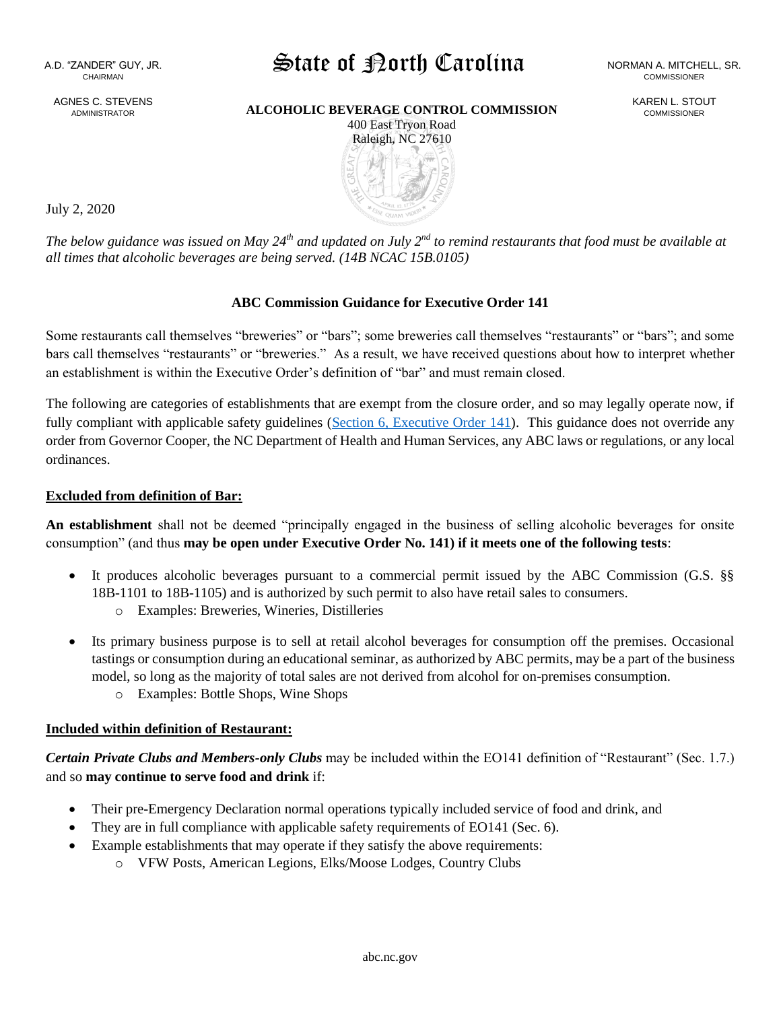AGNES C. STEVENS ADMINISTRATOR

# State of Porth Carolina NORMAN A. MITCHELL, SR.

**ALCOHOLIC BEVERAGE CONTROL COMMISSION** KAREN L. STOUT 400 East Tryon Road



July 2, 2020

*The below guidance was issued on May 24th and updated on July 2nd to remind restaurants that food must be available at all times that alcoholic beverages are being served. (14B NCAC 15B.0105)* 

#### **ABC Commission Guidance for Executive Order 141**

Some restaurants call themselves "breweries" or "bars"; some breweries call themselves "restaurants" or "bars"; and some bars call themselves "restaurants" or "breweries." As a result, we have received questions about how to interpret whether an establishment is within the Executive Order's definition of "bar" and must remain closed.

The following are categories of establishments that are exempt from the closure order, and so may legally operate now, if fully compliant with applicable safety guidelines [\(Section 6, Executive Order 141\)](https://files.nc.gov/governor/documents/files/EO141-Phase-2.pdf). This guidance does not override any order from Governor Cooper, the NC Department of Health and Human Services, any ABC laws or regulations, or any local ordinances.

#### **Excluded from definition of Bar:**

**An establishment** shall not be deemed "principally engaged in the business of selling alcoholic beverages for onsite consumption" (and thus **may be open under Executive Order No. 141) if it meets one of the following tests**:

- It produces alcoholic beverages pursuant to a commercial permit issued by the ABC Commission (G.S. §§ 18B-1101 to 18B-1105) and is authorized by such permit to also have retail sales to consumers.
	- o Examples: Breweries, Wineries, Distilleries
- Its primary business purpose is to sell at retail alcohol beverages for consumption off the premises. Occasional tastings or consumption during an educational seminar, as authorized by ABC permits, may be a part of the business model, so long as the majority of total sales are not derived from alcohol for on-premises consumption.
	- o Examples: Bottle Shops, Wine Shops

## **Included within definition of Restaurant:**

*Certain Private Clubs and Members-only Clubs* may be included within the EO141 definition of "Restaurant" (Sec. 1.7.) and so **may continue to serve food and drink** if:

- Their pre-Emergency Declaration normal operations typically included service of food and drink, and
- They are in full compliance with applicable safety requirements of EO141 (Sec. 6).
- Example establishments that may operate if they satisfy the above requirements:
	- o VFW Posts, American Legions, Elks/Moose Lodges, Country Clubs